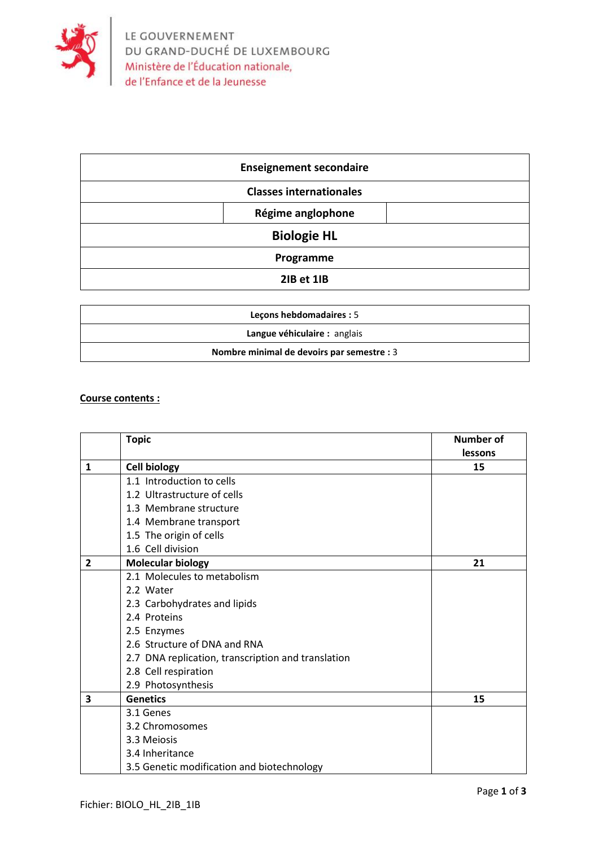

| <b>Enseignement secondaire</b> |  |
|--------------------------------|--|
| <b>Classes internationales</b> |  |
| Régime anglophone              |  |
| <b>Biologie HL</b>             |  |
| Programme                      |  |
| 2IB et 1IB                     |  |

| Lecons hebdomadaires : 5                   |
|--------------------------------------------|
| Langue véhiculaire : anglais               |
| Nombre minimal de devoirs par semestre : 3 |

## **Course contents :**

|                         | <b>Topic</b>                                       | <b>Number of</b><br>lessons |
|-------------------------|----------------------------------------------------|-----------------------------|
| $\mathbf{1}$            | <b>Cell biology</b>                                | 15                          |
|                         | 1.1 Introduction to cells                          |                             |
|                         | 1.2 Ultrastructure of cells                        |                             |
|                         | 1.3 Membrane structure                             |                             |
|                         | 1.4 Membrane transport                             |                             |
|                         | 1.5 The origin of cells                            |                             |
|                         | 1.6 Cell division                                  |                             |
| $\overline{2}$          | <b>Molecular biology</b>                           | 21                          |
|                         | 2.1 Molecules to metabolism                        |                             |
|                         | 2.2 Water                                          |                             |
|                         | 2.3 Carbohydrates and lipids                       |                             |
|                         | 2.4 Proteins                                       |                             |
|                         | 2.5 Enzymes                                        |                             |
|                         | 2.6 Structure of DNA and RNA                       |                             |
|                         | 2.7 DNA replication, transcription and translation |                             |
|                         | 2.8 Cell respiration                               |                             |
|                         | 2.9 Photosynthesis                                 |                             |
| $\overline{\mathbf{3}}$ | <b>Genetics</b>                                    | 15                          |
|                         | 3.1 Genes                                          |                             |
|                         | 3.2 Chromosomes                                    |                             |
|                         | 3.3 Meiosis                                        |                             |
|                         | 3.4 Inheritance                                    |                             |
|                         | 3.5 Genetic modification and biotechnology         |                             |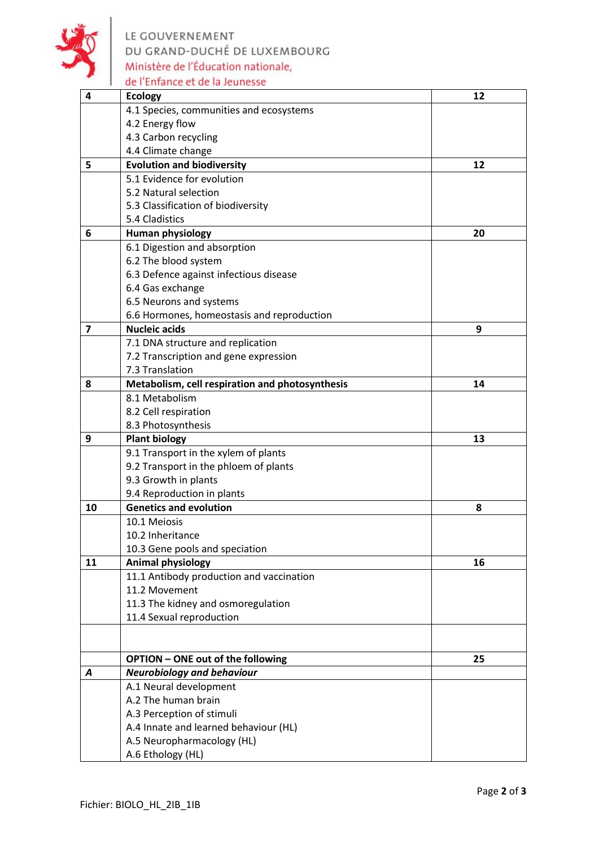

LE GOUVERNEMENT<br>DU GRAND-DUCHÉ DE LUXEMBOURG<br>Ministère de l'Éducation nationale, de l'Enfance et de la Jeunesse

| 4  | <b>Ecology</b>                                  | 12 |
|----|-------------------------------------------------|----|
|    | 4.1 Species, communities and ecosystems         |    |
|    | 4.2 Energy flow                                 |    |
|    | 4.3 Carbon recycling                            |    |
|    | 4.4 Climate change                              |    |
| 5  | <b>Evolution and biodiversity</b>               | 12 |
|    | 5.1 Evidence for evolution                      |    |
|    | 5.2 Natural selection                           |    |
|    | 5.3 Classification of biodiversity              |    |
|    | 5.4 Cladistics                                  |    |
| 6  | <b>Human physiology</b>                         | 20 |
|    | 6.1 Digestion and absorption                    |    |
|    | 6.2 The blood system                            |    |
|    | 6.3 Defence against infectious disease          |    |
|    | 6.4 Gas exchange                                |    |
|    | 6.5 Neurons and systems                         |    |
|    | 6.6 Hormones, homeostasis and reproduction      |    |
| 7  | <b>Nucleic acids</b>                            | 9  |
|    | 7.1 DNA structure and replication               |    |
|    | 7.2 Transcription and gene expression           |    |
|    | 7.3 Translation                                 |    |
| 8  | Metabolism, cell respiration and photosynthesis | 14 |
|    | 8.1 Metabolism                                  |    |
|    | 8.2 Cell respiration                            |    |
|    | 8.3 Photosynthesis                              |    |
| 9  | <b>Plant biology</b>                            | 13 |
|    | 9.1 Transport in the xylem of plants            |    |
|    | 9.2 Transport in the phloem of plants           |    |
|    | 9.3 Growth in plants                            |    |
|    | 9.4 Reproduction in plants                      |    |
| 10 | <b>Genetics and evolution</b>                   | 8  |
|    | 10.1 Meiosis                                    |    |
|    | 10.2 Inheritance                                |    |
|    | 10.3 Gene pools and speciation                  |    |
| 11 | <b>Animal physiology</b>                        | 16 |
|    | 11.1 Antibody production and vaccination        |    |
|    | 11.2 Movement                                   |    |
|    | 11.3 The kidney and osmoregulation              |    |
|    | 11.4 Sexual reproduction                        |    |
|    |                                                 |    |
|    | <b>OPTION - ONE out of the following</b>        | 25 |
| A  | <b>Neurobiology and behaviour</b>               |    |
|    | A.1 Neural development                          |    |
|    | A.2 The human brain                             |    |
|    | A.3 Perception of stimuli                       |    |
|    | A.4 Innate and learned behaviour (HL)           |    |
|    | A.5 Neuropharmacology (HL)                      |    |
|    | A.6 Ethology (HL)                               |    |
|    |                                                 |    |